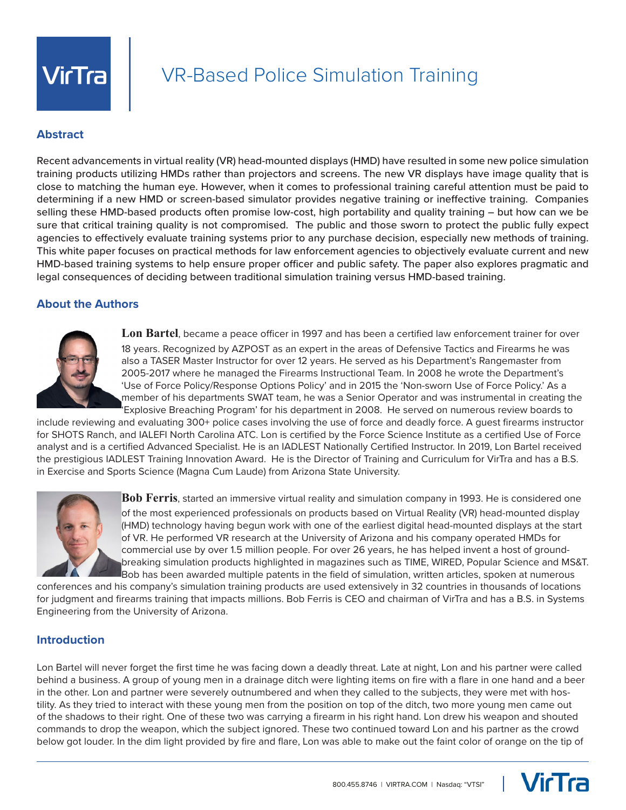

# VR-Based Police Simulation Training

## **Abstract**

Recent advancements in virtual reality (VR) head-mounted displays (HMD) have resulted in some new police simulation training products utilizing HMDs rather than projectors and screens. The new VR displays have image quality that is close to matching the human eye. However, when it comes to professional training careful attention must be paid to determining if a new HMD or screen-based simulator provides negative training or ineffective training. Companies selling these HMD-based products often promise low-cost, high portability and quality training – but how can we be sure that critical training quality is not compromised. The public and those sworn to protect the public fully expect agencies to effectively evaluate training systems prior to any purchase decision, especially new methods of training. This white paper focuses on practical methods for law enforcement agencies to objectively evaluate current and new HMD-based training systems to help ensure proper officer and public safety. The paper also explores pragmatic and legal consequences of deciding between traditional simulation training versus HMD-based training.

## **About the Authors**



**Lon Bartel**, became a peace officer in 1997 and has been a certified law enforcement trainer for over 18 years. Recognized by AZPOST as an expert in the areas of Defensive Tactics and Firearms he was also a TASER Master Instructor for over 12 years. He served as his Department's Rangemaster from 2005-2017 where he managed the Firearms Instructional Team. In 2008 he wrote the Department's 'Use of Force Policy/Response Options Policy' and in 2015 the 'Non-sworn Use of Force Policy.' As a member of his departments SWAT team, he was a Senior Operator and was instrumental in creating the Explosive Breaching Program' for his department in 2008. He served on numerous review boards to

include reviewing and evaluating 300+ police cases involving the use of force and deadly force. A guest firearms instructor for SHOTS Ranch, and IALEFI North Carolina ATC. Lon is certified by the Force Science Institute as a certified Use of Force analyst and is a certified Advanced Specialist. He is an IADLEST Nationally Certified Instructor. In 2019, Lon Bartel received the prestigious IADLEST Training Innovation Award. He is the Director of Training and Curriculum for VirTra and has a B.S. in Exercise and Sports Science (Magna Cum Laude) from Arizona State University.



**Bob Ferris**, started an immersive virtual reality and simulation company in 1993. He is considered one of the most experienced professionals on products based on Virtual Reality (VR) head-mounted display (HMD) technology having begun work with one of the earliest digital head-mounted displays at the start of VR. He performed VR research at the University of Arizona and his company operated HMDs for commercial use by over 1.5 million people. For over 26 years, he has helped invent a host of groundbreaking simulation products highlighted in magazines such as TIME, WIRED, Popular Science and MS&T. Bob has been awarded multiple patents in the field of simulation, written articles, spoken at numerous

conferences and his company's simulation training products are used extensively in 32 countries in thousands of locations for judgment and firearms training that impacts millions. Bob Ferris is CEO and chairman of VirTra and has a B.S. in Systems Engineering from the University of Arizona.

#### **Introduction**

Lon Bartel will never forget the first time he was facing down a deadly threat. Late at night, Lon and his partner were called behind a business. A group of young men in a drainage ditch were lighting items on fire with a flare in one hand and a beer in the other. Lon and partner were severely outnumbered and when they called to the subjects, they were met with hostility. As they tried to interact with these young men from the position on top of the ditch, two more young men came out of the shadows to their right. One of these two was carrying a firearm in his right hand. Lon drew his weapon and shouted commands to drop the weapon, which the subject ignored. These two continued toward Lon and his partner as the crowd below got louder. In the dim light provided by fire and flare, Lon was able to make out the faint color of orange on the tip of

VirTra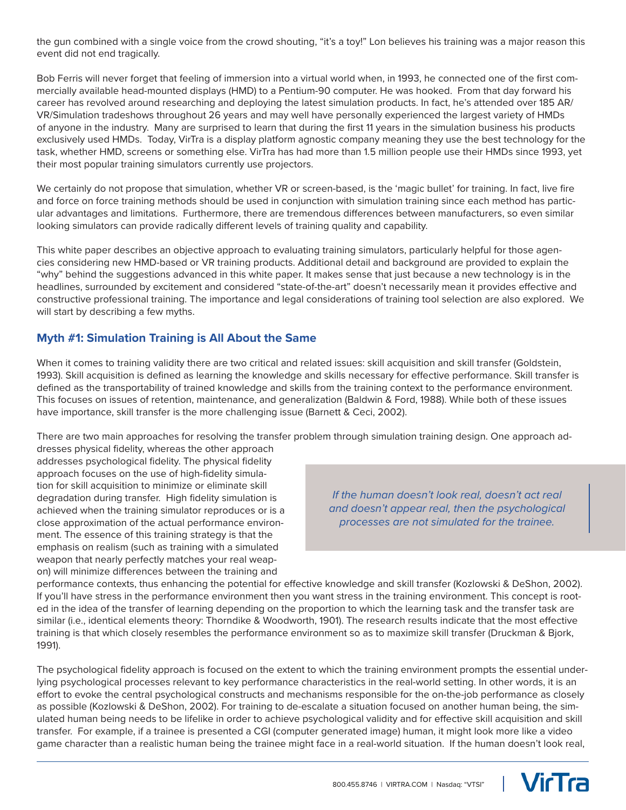the gun combined with a single voice from the crowd shouting, "it's a toy!" Lon believes his training was a major reason this event did not end tragically.

Bob Ferris will never forget that feeling of immersion into a virtual world when, in 1993, he connected one of the first commercially available head-mounted displays (HMD) to a Pentium-90 computer. He was hooked. From that day forward his career has revolved around researching and deploying the latest simulation products. In fact, he's attended over 185 AR/ VR/Simulation tradeshows throughout 26 years and may well have personally experienced the largest variety of HMDs of anyone in the industry. Many are surprised to learn that during the first 11 years in the simulation business his products exclusively used HMDs. Today, VirTra is a display platform agnostic company meaning they use the best technology for the task, whether HMD, screens or something else. VirTra has had more than 1.5 million people use their HMDs since 1993, yet their most popular training simulators currently use projectors.

We certainly do not propose that simulation, whether VR or screen-based, is the 'magic bullet' for training. In fact, live fire and force on force training methods should be used in conjunction with simulation training since each method has particular advantages and limitations. Furthermore, there are tremendous differences between manufacturers, so even similar looking simulators can provide radically different levels of training quality and capability.

This white paper describes an objective approach to evaluating training simulators, particularly helpful for those agencies considering new HMD-based or VR training products. Additional detail and background are provided to explain the "why" behind the suggestions advanced in this white paper. It makes sense that just because a new technology is in the headlines, surrounded by excitement and considered "state-of-the-art" doesn't necessarily mean it provides effective and constructive professional training. The importance and legal considerations of training tool selection are also explored. We will start by describing a few myths.

## **Myth #1: Simulation Training is All About the Same**

When it comes to training validity there are two critical and related issues: skill acquisition and skill transfer (Goldstein, 1993). Skill acquisition is defined as learning the knowledge and skills necessary for effective performance. Skill transfer is defined as the transportability of trained knowledge and skills from the training context to the performance environment. This focuses on issues of retention, maintenance, and generalization (Baldwin & Ford, 1988). While both of these issues have importance, skill transfer is the more challenging issue (Barnett & Ceci, 2002).

There are two main approaches for resolving the transfer problem through simulation training design. One approach ad-

dresses physical fidelity, whereas the other approach addresses psychological fidelity. The physical fidelity approach focuses on the use of high-fidelity simulation for skill acquisition to minimize or eliminate skill degradation during transfer. High fidelity simulation is achieved when the training simulator reproduces or is a close approximation of the actual performance environment. The essence of this training strategy is that the emphasis on realism (such as training with a simulated weapon that nearly perfectly matches your real weapon) will minimize differences between the training and

*If the human doesn't look real, doesn't act real and doesn't appear real, then the psychological processes are not simulated for the trainee.* 

performance contexts, thus enhancing the potential for effective knowledge and skill transfer (Kozlowski & DeShon, 2002). If you'll have stress in the performance environment then you want stress in the training environment. This concept is rooted in the idea of the transfer of learning depending on the proportion to which the learning task and the transfer task are similar (i.e., identical elements theory: Thorndike & Woodworth, 1901). The research results indicate that the most effective training is that which closely resembles the performance environment so as to maximize skill transfer (Druckman & Bjork, 1991).

The psychological fidelity approach is focused on the extent to which the training environment prompts the essential underlying psychological processes relevant to key performance characteristics in the real-world setting. In other words, it is an effort to evoke the central psychological constructs and mechanisms responsible for the on-the-job performance as closely as possible (Kozlowski & DeShon, 2002). For training to de-escalate a situation focused on another human being, the simulated human being needs to be lifelike in order to achieve psychological validity and for effective skill acquisition and skill transfer. For example, if a trainee is presented a CGI (computer generated image) human, it might look more like a video game character than a realistic human being the trainee might face in a real-world situation. If the human doesn't look real,

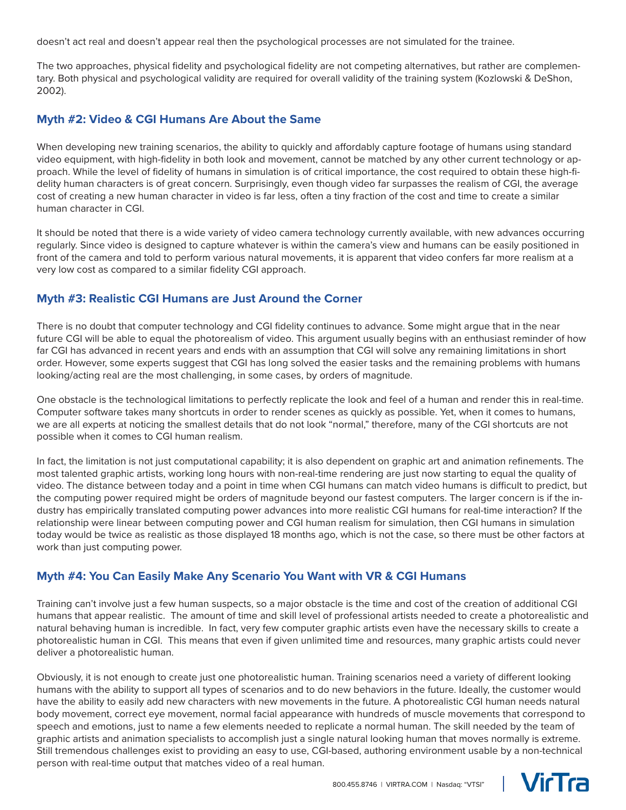doesn't act real and doesn't appear real then the psychological processes are not simulated for the trainee.

The two approaches, physical fidelity and psychological fidelity are not competing alternatives, but rather are complementary. Both physical and psychological validity are required for overall validity of the training system (Kozlowski & DeShon, 2002).

#### **Myth #2: Video & CGI Humans Are About the Same**

When developing new training scenarios, the ability to quickly and affordably capture footage of humans using standard video equipment, with high-fidelity in both look and movement, cannot be matched by any other current technology or approach. While the level of fidelity of humans in simulation is of critical importance, the cost required to obtain these high-fidelity human characters is of great concern. Surprisingly, even though video far surpasses the realism of CGI, the average cost of creating a new human character in video is far less, often a tiny fraction of the cost and time to create a similar human character in CGI.

It should be noted that there is a wide variety of video camera technology currently available, with new advances occurring regularly. Since video is designed to capture whatever is within the camera's view and humans can be easily positioned in front of the camera and told to perform various natural movements, it is apparent that video confers far more realism at a very low cost as compared to a similar fidelity CGI approach.

#### **Myth #3: Realistic CGI Humans are Just Around the Corner**

There is no doubt that computer technology and CGI fidelity continues to advance. Some might argue that in the near future CGI will be able to equal the photorealism of video. This argument usually begins with an enthusiast reminder of how far CGI has advanced in recent years and ends with an assumption that CGI will solve any remaining limitations in short order. However, some experts suggest that CGI has long solved the easier tasks and the remaining problems with humans looking/acting real are the most challenging, in some cases, by orders of magnitude.

One obstacle is the technological limitations to perfectly replicate the look and feel of a human and render this in real-time. Computer software takes many shortcuts in order to render scenes as quickly as possible. Yet, when it comes to humans, we are all experts at noticing the smallest details that do not look "normal," therefore, many of the CGI shortcuts are not possible when it comes to CGI human realism.

In fact, the limitation is not just computational capability; it is also dependent on graphic art and animation refinements. The most talented graphic artists, working long hours with non-real-time rendering are just now starting to equal the quality of video. The distance between today and a point in time when CGI humans can match video humans is difficult to predict, but the computing power required might be orders of magnitude beyond our fastest computers. The larger concern is if the industry has empirically translated computing power advances into more realistic CGI humans for real-time interaction? If the relationship were linear between computing power and CGI human realism for simulation, then CGI humans in simulation today would be twice as realistic as those displayed 18 months ago, which is not the case, so there must be other factors at work than just computing power.

#### **Myth #4: You Can Easily Make Any Scenario You Want with VR & CGI Humans**

Training can't involve just a few human suspects, so a major obstacle is the time and cost of the creation of additional CGI humans that appear realistic. The amount of time and skill level of professional artists needed to create a photorealistic and natural behaving human is incredible. In fact, very few computer graphic artists even have the necessary skills to create a photorealistic human in CGI. This means that even if given unlimited time and resources, many graphic artists could never deliver a photorealistic human.

Obviously, it is not enough to create just one photorealistic human. Training scenarios need a variety of different looking humans with the ability to support all types of scenarios and to do new behaviors in the future. Ideally, the customer would have the ability to easily add new characters with new movements in the future. A photorealistic CGI human needs natural body movement, correct eye movement, normal facial appearance with hundreds of muscle movements that correspond to speech and emotions, just to name a few elements needed to replicate a normal human. The skill needed by the team of graphic artists and animation specialists to accomplish just a single natural looking human that moves normally is extreme. Still tremendous challenges exist to providing an easy to use, CGI-based, authoring environment usable by a non-technical person with real-time output that matches video of a real human.

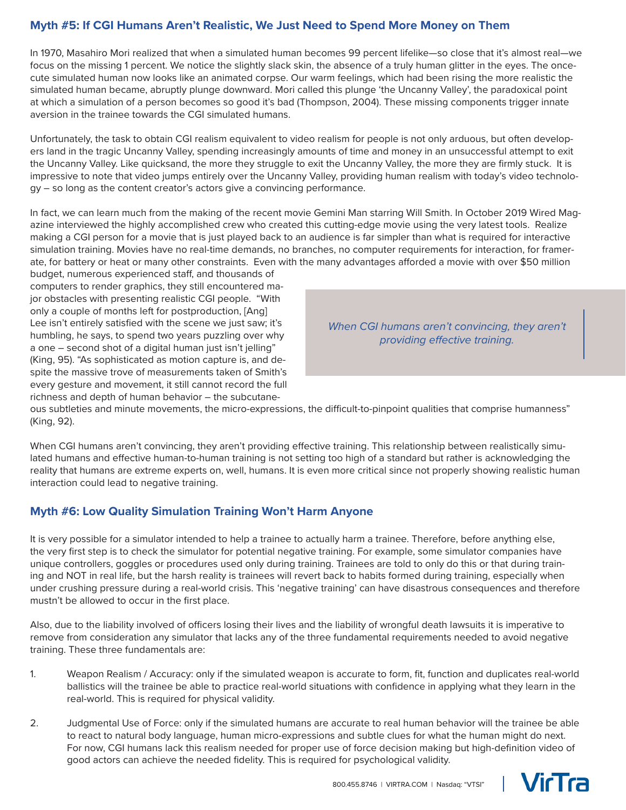# **Myth #5: If CGI Humans Aren't Realistic, We Just Need to Spend More Money on Them**

In 1970, Masahiro Mori realized that when a simulated human becomes 99 percent lifelike—so close that it's almost real—we focus on the missing 1 percent. We notice the slightly slack skin, the absence of a truly human glitter in the eyes. The oncecute simulated human now looks like an animated corpse. Our warm feelings, which had been rising the more realistic the simulated human became, abruptly plunge downward. Mori called this plunge 'the Uncanny Valley', the paradoxical point at which a simulation of a person becomes so good it's bad (Thompson, 2004). These missing components trigger innate aversion in the trainee towards the CGI simulated humans.

Unfortunately, the task to obtain CGI realism equivalent to video realism for people is not only arduous, but often developers land in the tragic Uncanny Valley, spending increasingly amounts of time and money in an unsuccessful attempt to exit the Uncanny Valley. Like quicksand, the more they struggle to exit the Uncanny Valley, the more they are firmly stuck. It is impressive to note that video jumps entirely over the Uncanny Valley, providing human realism with today's video technology – so long as the content creator's actors give a convincing performance.

In fact, we can learn much from the making of the recent movie Gemini Man starring Will Smith. In October 2019 Wired Magazine interviewed the highly accomplished crew who created this cutting-edge movie using the very latest tools. Realize making a CGI person for a movie that is just played back to an audience is far simpler than what is required for interactive simulation training. Movies have no real-time demands, no branches, no computer requirements for interaction, for framerate, for battery or heat or many other constraints. Even with the many advantages afforded a movie with over \$50 million

budget, numerous experienced staff, and thousands of computers to render graphics, they still encountered major obstacles with presenting realistic CGI people. "With only a couple of months left for postproduction, [Ang] Lee isn't entirely satisfied with the scene we just saw; it's humbling, he says, to spend two years puzzling over why a one – second shot of a digital human just isn't jelling" (King, 95). "As sophisticated as motion capture is, and despite the massive trove of measurements taken of Smith's every gesture and movement, it still cannot record the full richness and depth of human behavior – the subcutane-

*When CGI humans aren't convincing, they aren't providing effective training.* 

ous subtleties and minute movements, the micro-expressions, the difficult-to-pinpoint qualities that comprise humanness" (King, 92).

When CGI humans aren't convincing, they aren't providing effective training. This relationship between realistically simulated humans and effective human-to-human training is not setting too high of a standard but rather is acknowledging the reality that humans are extreme experts on, well, humans. It is even more critical since not properly showing realistic human interaction could lead to negative training.

#### **Myth #6: Low Quality Simulation Training Won't Harm Anyone**

It is very possible for a simulator intended to help a trainee to actually harm a trainee. Therefore, before anything else, the very first step is to check the simulator for potential negative training. For example, some simulator companies have unique controllers, goggles or procedures used only during training. Trainees are told to only do this or that during training and NOT in real life, but the harsh reality is trainees will revert back to habits formed during training, especially when under crushing pressure during a real-world crisis. This 'negative training' can have disastrous consequences and therefore mustn't be allowed to occur in the first place.

Also, due to the liability involved of officers losing their lives and the liability of wrongful death lawsuits it is imperative to remove from consideration any simulator that lacks any of the three fundamental requirements needed to avoid negative training. These three fundamentals are:

- 1. Weapon Realism / Accuracy: only if the simulated weapon is accurate to form, fit, function and duplicates real-world ballistics will the trainee be able to practice real-world situations with confidence in applying what they learn in the real-world. This is required for physical validity.
- 2. Judgmental Use of Force: only if the simulated humans are accurate to real human behavior will the trainee be able to react to natural body language, human micro-expressions and subtle clues for what the human might do next. For now, CGI humans lack this realism needed for proper use of force decision making but high-definition video of good actors can achieve the needed fidelity. This is required for psychological validity.

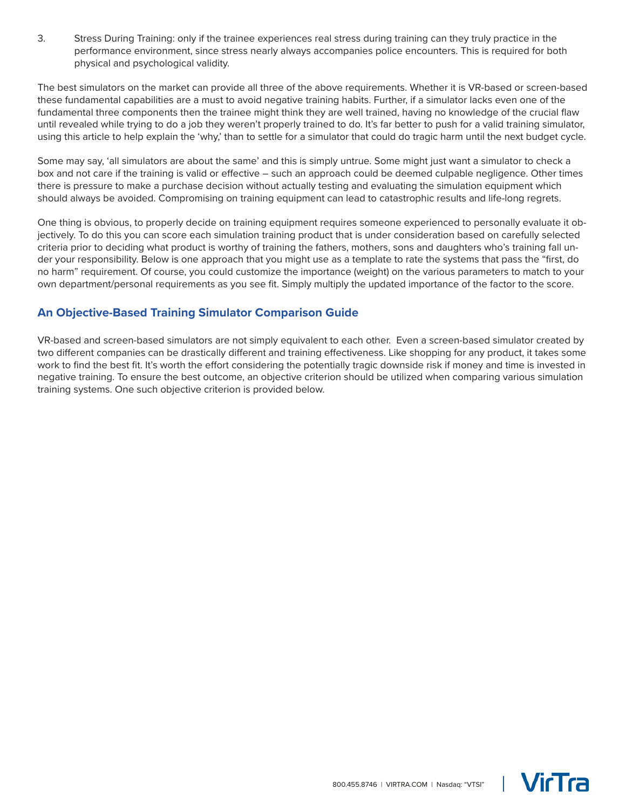3. Stress During Training: only if the trainee experiences real stress during training can they truly practice in the performance environment, since stress nearly always accompanies police encounters. This is required for both physical and psychological validity.

The best simulators on the market can provide all three of the above requirements. Whether it is VR-based or screen-based these fundamental capabilities are a must to avoid negative training habits. Further, if a simulator lacks even one of the fundamental three components then the trainee might think they are well trained, having no knowledge of the crucial flaw until revealed while trying to do a job they weren't properly trained to do. It's far better to push for a valid training simulator, using this article to help explain the 'why,' than to settle for a simulator that could do tragic harm until the next budget cycle.

Some may say, 'all simulators are about the same' and this is simply untrue. Some might just want a simulator to check a box and not care if the training is valid or effective – such an approach could be deemed culpable negligence. Other times there is pressure to make a purchase decision without actually testing and evaluating the simulation equipment which should always be avoided. Compromising on training equipment can lead to catastrophic results and life-long regrets.

One thing is obvious, to properly decide on training equipment requires someone experienced to personally evaluate it objectively. To do this you can score each simulation training product that is under consideration based on carefully selected criteria prior to deciding what product is worthy of training the fathers, mothers, sons and daughters who's training fall under your responsibility. Below is one approach that you might use as a template to rate the systems that pass the "first, do no harm" requirement. Of course, you could customize the importance (weight) on the various parameters to match to your own department/personal requirements as you see fit. Simply multiply the updated importance of the factor to the score.

## **An Objective-Based Training Simulator Comparison Guide**

VR-based and screen-based simulators are not simply equivalent to each other. Even a screen-based simulator created by two different companies can be drastically different and training effectiveness. Like shopping for any product, it takes some work to find the best fit. It's worth the effort considering the potentially tragic downside risk if money and time is invested in negative training. To ensure the best outcome, an objective criterion should be utilized when comparing various simulation training systems. One such objective criterion is provided below.



**VicTra**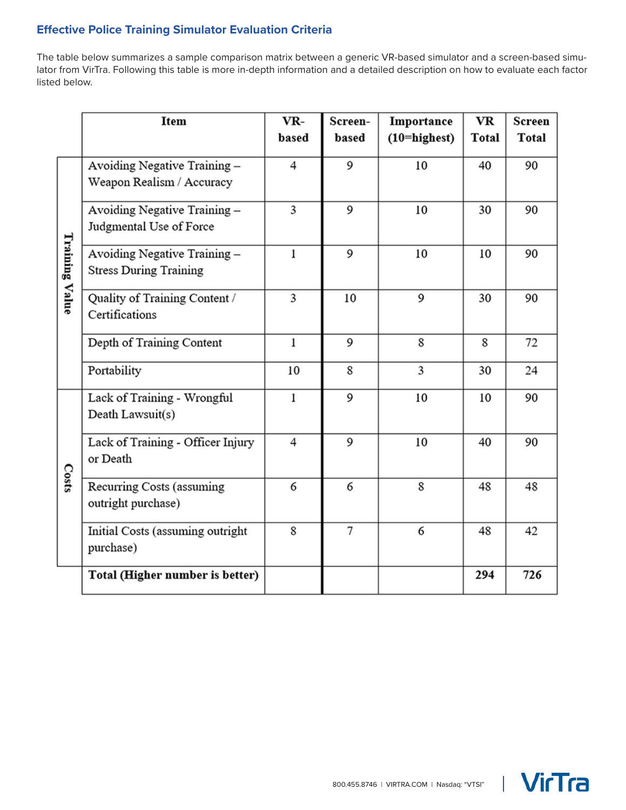# **Effective Police Training Simulator Evaluation Criteria**

The table below summarizes a sample comparison matrix between a generic VR-based simulator and a screen-based simulator from VirTra. Following this table is more in-depth information and a detailed description on how to evaluate each factor listed below.

|                | Item                                                         | VR-          | Screen-        | Importance         | <b>VR</b>    | Screen |
|----------------|--------------------------------------------------------------|--------------|----------------|--------------------|--------------|--------|
|                |                                                              | based        | based          | $(10=$ highest $)$ | <b>Total</b> | Total  |
| Training Value | Avoiding Negative Training -<br>Weapon Realism / Accuracy    | 4            | 9              | 10                 | 40           | 90     |
|                | Avoiding Negative Training-<br>Judgmental Use of Force       | 3            | 9              | 10                 | 30           | 90     |
|                | Avoiding Negative Training-<br><b>Stress During Training</b> | $\mathbf{1}$ | 9              | 10                 | 10           | 90     |
|                | Quality of Training Content /<br>Certifications              | 3            | 10             | 9                  | 30           | 90     |
|                | Depth of Training Content                                    | $\mathbf{1}$ | 9              | 8                  | 8            | 72     |
|                | Portability                                                  | 10           | 8              | 3                  | 30           | 24     |
| Costs          | Lack of Training - Wrongful<br>Death Lawsuit(s)              | $\mathbf{1}$ | 9              | 10                 | 10           | 90     |
|                | Lack of Training - Officer Injury<br>or Death                | 4            | 9              | 10                 | 40           | 90     |
|                | Recurring Costs (assuming<br>outright purchase)              | 6            | 6              | 8                  | 48           | 48     |
|                | Initial Costs (assuming outright<br>purchase)                | 8            | $\overline{7}$ | 6                  | 48           | 42     |
|                | Total (Higher number is better)                              |              |                |                    | 294          | 726    |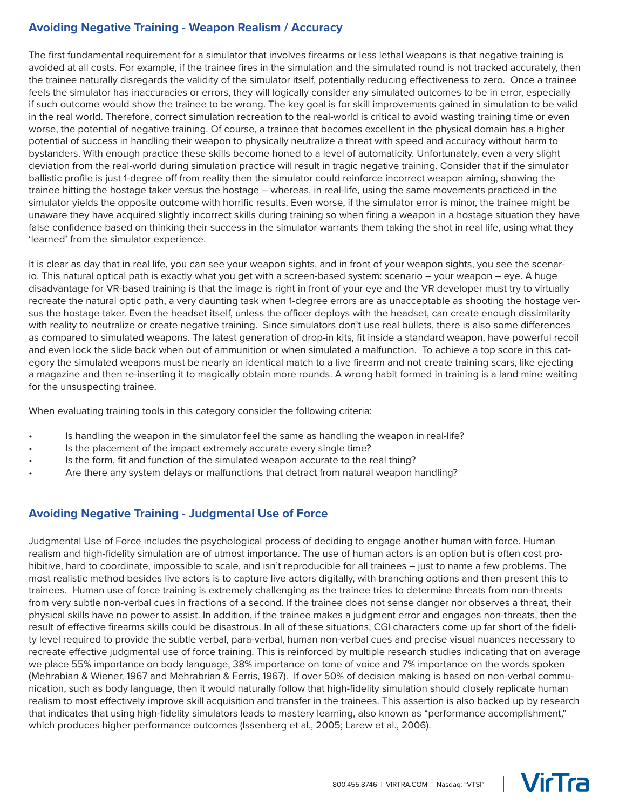## **Avoiding Negative Training - Weapon Realism / Accuracy**

The first fundamental requirement for a simulator that involves firearms or less lethal weapons is that negative training is avoided at all costs. For example, if the trainee fires in the simulation and the simulated round is not tracked accurately, then the trainee naturally disregards the validity of the simulator itself, potentially reducing effectiveness to zero. Once a trainee feels the simulator has inaccuracies or errors, they will logically consider any simulated outcomes to be in error, especially if such outcome would show the trainee to be wrong. The key goal is for skill improvements gained in simulation to be valid in the real world. Therefore, correct simulation recreation to the real-world is critical to avoid wasting training time or even worse, the potential of negative training. Of course, a trainee that becomes excellent in the physical domain has a higher potential of success in handling their weapon to physically neutralize a threat with speed and accuracy without harm to bystanders. With enough practice these skills become honed to a level of automaticity. Unfortunately, even a very slight deviation from the real-world during simulation practice will result in tragic negative training. Consider that if the simulator ballistic profile is just 1-degree off from reality then the simulator could reinforce incorrect weapon aiming, showing the trainee hitting the hostage taker versus the hostage – whereas, in real-life, using the same movements practiced in the simulator yields the opposite outcome with horrific results. Even worse, if the simulator error is minor, the trainee might be unaware they have acquired slightly incorrect skills during training so when firing a weapon in a hostage situation they have false confidence based on thinking their success in the simulator warrants them taking the shot in real life, using what they 'learned' from the simulator experience.

It is clear as day that in real life, you can see your weapon sights, and in front of your weapon sights, you see the scenario. This natural optical path is exactly what you get with a screen-based system: scenario – your weapon – eye. A huge disadvantage for VR-based training is that the image is right in front of your eye and the VR developer must try to virtually recreate the natural optic path, a very daunting task when 1-degree errors are as unacceptable as shooting the hostage versus the hostage taker. Even the headset itself, unless the officer deploys with the headset, can create enough dissimilarity with reality to neutralize or create negative training. Since simulators don't use real bullets, there is also some differences as compared to simulated weapons. The latest generation of drop-in kits, fit inside a standard weapon, have powerful recoil and even lock the slide back when out of ammunition or when simulated a malfunction. To achieve a top score in this category the simulated weapons must be nearly an identical match to a live firearm and not create training scars, like ejecting a magazine and then re-inserting it to magically obtain more rounds. A wrong habit formed in training is a land mine waiting for the unsuspecting trainee.

When evaluating training tools in this category consider the following criteria:

- Is handling the weapon in the simulator feel the same as handling the weapon in real-life?
- Is the placement of the impact extremely accurate every single time?
- Is the form, fit and function of the simulated weapon accurate to the real thing?
- Are there any system delays or malfunctions that detract from natural weapon handling?

## **Avoiding Negative Training - Judgmental Use of Force**

Judgmental Use of Force includes the psychological process of deciding to engage another human with force. Human realism and high-fidelity simulation are of utmost importance. The use of human actors is an option but is often cost prohibitive, hard to coordinate, impossible to scale, and isn't reproducible for all trainees – just to name a few problems. The most realistic method besides live actors is to capture live actors digitally, with branching options and then present this to trainees. Human use of force training is extremely challenging as the trainee tries to determine threats from non-threats from very subtle non-verbal cues in fractions of a second. If the trainee does not sense danger nor observes a threat, their physical skills have no power to assist. In addition, if the trainee makes a judgment error and engages non-threats, then the result of effective firearms skills could be disastrous. In all of these situations, CGI characters come up far short of the fidelity level required to provide the subtle verbal, para-verbal, human non-verbal cues and precise visual nuances necessary to recreate effective judgmental use of force training. This is reinforced by multiple research studies indicating that on average we place 55% importance on body language, 38% importance on tone of voice and 7% importance on the words spoken (Mehrabian & Wiener, 1967 and Mehrabrian & Ferris, 1967). If over 50% of decision making is based on non-verbal communication, such as body language, then it would naturally follow that high-fidelity simulation should closely replicate human realism to most effectively improve skill acquisition and transfer in the trainees. This assertion is also backed up by research that indicates that using high-fidelity simulators leads to mastery learning, also known as "performance accomplishment," which produces higher performance outcomes (Issenberg et al., 2005; Larew et al., 2006).

**NicTra**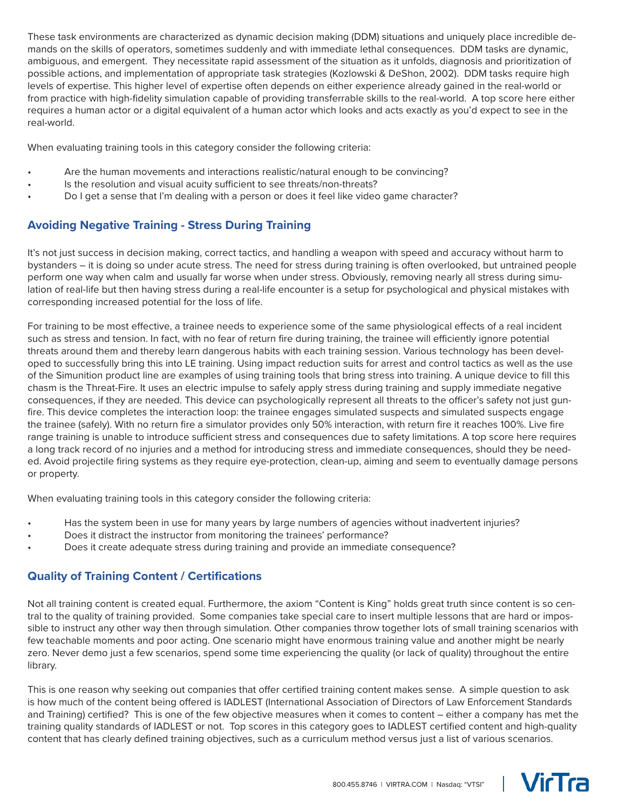These task environments are characterized as dynamic decision making (DDM) situations and uniquely place incredible demands on the skills of operators, sometimes suddenly and with immediate lethal consequences. DDM tasks are dynamic, ambiguous, and emergent. They necessitate rapid assessment of the situation as it unfolds, diagnosis and prioritization of possible actions, and implementation of appropriate task strategies (Kozlowski & DeShon, 2002). DDM tasks require high levels of expertise. This higher level of expertise often depends on either experience already gained in the real-world or from practice with high-fidelity simulation capable of providing transferrable skills to the real-world. A top score here either requires a human actor or a digital equivalent of a human actor which looks and acts exactly as you'd expect to see in the real-world.

When evaluating training tools in this category consider the following criteria:

- Are the human movements and interactions realistic/natural enough to be convincing?
- Is the resolution and visual acuity sufficient to see threats/non-threats?
- Do I get a sense that I'm dealing with a person or does it feel like video game character?

## **Avoiding Negative Training - Stress During Training**

It's not just success in decision making, correct tactics, and handling a weapon with speed and accuracy without harm to bystanders – it is doing so under acute stress. The need for stress during training is often overlooked, but untrained people perform one way when calm and usually far worse when under stress. Obviously, removing nearly all stress during simulation of real-life but then having stress during a real-life encounter is a setup for psychological and physical mistakes with corresponding increased potential for the loss of life.

For training to be most effective, a trainee needs to experience some of the same physiological effects of a real incident such as stress and tension. In fact, with no fear of return fire during training, the trainee will efficiently ignore potential threats around them and thereby learn dangerous habits with each training session. Various technology has been developed to successfully bring this into LE training. Using impact reduction suits for arrest and control tactics as well as the use of the Simunition product line are examples of using training tools that bring stress into training. A unique device to fill this chasm is the Threat-Fire. It uses an electric impulse to safely apply stress during training and supply immediate negative consequences, if they are needed. This device can psychologically represent all threats to the officer's safety not just gunfire. This device completes the interaction loop: the trainee engages simulated suspects and simulated suspects engage the trainee (safely). With no return fire a simulator provides only 50% interaction, with return fire it reaches 100%. Live fire range training is unable to introduce sufficient stress and consequences due to safety limitations. A top score here requires a long track record of no injuries and a method for introducing stress and immediate consequences, should they be needed. Avoid projectile firing systems as they require eye-protection, clean-up, aiming and seem to eventually damage persons or property.

When evaluating training tools in this category consider the following criteria:

- Has the system been in use for many years by large numbers of agencies without inadvertent injuries?
- Does it distract the instructor from monitoring the trainees' performance?
- Does it create adequate stress during training and provide an immediate consequence?

## **Quality of Training Content / Certifications**

Not all training content is created equal. Furthermore, the axiom "Content is King" holds great truth since content is so central to the quality of training provided. Some companies take special care to insert multiple lessons that are hard or impossible to instruct any other way then through simulation. Other companies throw together lots of small training scenarios with few teachable moments and poor acting. One scenario might have enormous training value and another might be nearly zero. Never demo just a few scenarios, spend some time experiencing the quality (or lack of quality) throughout the entire library.

This is one reason why seeking out companies that offer certified training content makes sense. A simple question to ask is how much of the content being offered is IADLEST (International Association of Directors of Law Enforcement Standards and Training) certified? This is one of the few objective measures when it comes to content – either a company has met the training quality standards of IADLEST or not. Top scores in this category goes to IADLEST certified content and high-quality content that has clearly defined training objectives, such as a curriculum method versus just a list of various scenarios.

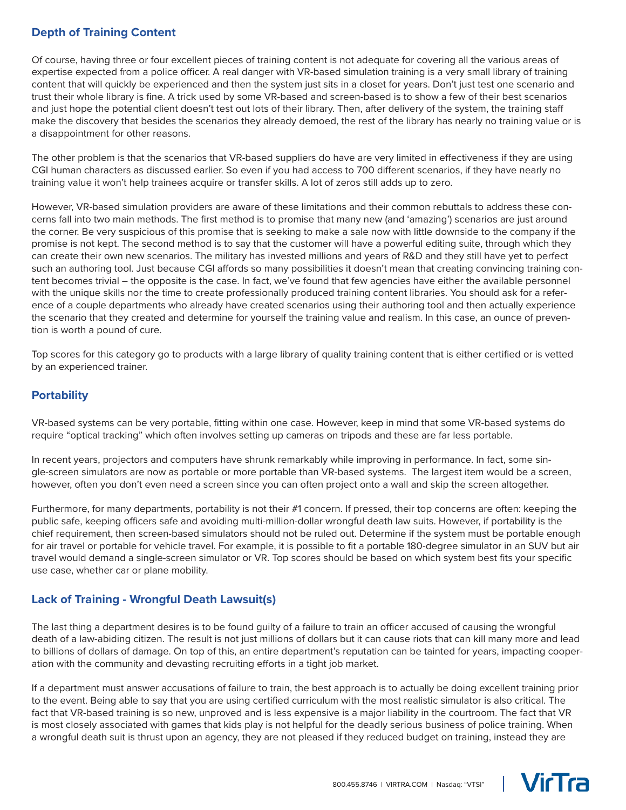# **Depth of Training Content**

Of course, having three or four excellent pieces of training content is not adequate for covering all the various areas of expertise expected from a police officer. A real danger with VR-based simulation training is a very small library of training content that will quickly be experienced and then the system just sits in a closet for years. Don't just test one scenario and trust their whole library is fine. A trick used by some VR-based and screen-based is to show a few of their best scenarios and just hope the potential client doesn't test out lots of their library. Then, after delivery of the system, the training staff make the discovery that besides the scenarios they already demoed, the rest of the library has nearly no training value or is a disappointment for other reasons.

The other problem is that the scenarios that VR-based suppliers do have are very limited in effectiveness if they are using CGI human characters as discussed earlier. So even if you had access to 700 different scenarios, if they have nearly no training value it won't help trainees acquire or transfer skills. A lot of zeros still adds up to zero.

However, VR-based simulation providers are aware of these limitations and their common rebuttals to address these concerns fall into two main methods. The first method is to promise that many new (and 'amazing') scenarios are just around the corner. Be very suspicious of this promise that is seeking to make a sale now with little downside to the company if the promise is not kept. The second method is to say that the customer will have a powerful editing suite, through which they can create their own new scenarios. The military has invested millions and years of R&D and they still have yet to perfect such an authoring tool. Just because CGI affords so many possibilities it doesn't mean that creating convincing training content becomes trivial – the opposite is the case. In fact, we've found that few agencies have either the available personnel with the unique skills nor the time to create professionally produced training content libraries. You should ask for a reference of a couple departments who already have created scenarios using their authoring tool and then actually experience the scenario that they created and determine for yourself the training value and realism. In this case, an ounce of prevention is worth a pound of cure.

Top scores for this category go to products with a large library of quality training content that is either certified or is vetted by an experienced trainer.

## **Portability**

VR-based systems can be very portable, fitting within one case. However, keep in mind that some VR-based systems do require "optical tracking" which often involves setting up cameras on tripods and these are far less portable.

In recent years, projectors and computers have shrunk remarkably while improving in performance. In fact, some single-screen simulators are now as portable or more portable than VR-based systems. The largest item would be a screen, however, often you don't even need a screen since you can often project onto a wall and skip the screen altogether.

Furthermore, for many departments, portability is not their #1 concern. If pressed, their top concerns are often: keeping the public safe, keeping officers safe and avoiding multi-million-dollar wrongful death law suits. However, if portability is the chief requirement, then screen-based simulators should not be ruled out. Determine if the system must be portable enough for air travel or portable for vehicle travel. For example, it is possible to fit a portable 180-degree simulator in an SUV but air travel would demand a single-screen simulator or VR. Top scores should be based on which system best fits your specific use case, whether car or plane mobility.

#### **Lack of Training - Wrongful Death Lawsuit(s)**

The last thing a department desires is to be found guilty of a failure to train an officer accused of causing the wrongful death of a law-abiding citizen. The result is not just millions of dollars but it can cause riots that can kill many more and lead to billions of dollars of damage. On top of this, an entire department's reputation can be tainted for years, impacting cooperation with the community and devasting recruiting efforts in a tight job market.

If a department must answer accusations of failure to train, the best approach is to actually be doing excellent training prior to the event. Being able to say that you are using certified curriculum with the most realistic simulator is also critical. The fact that VR-based training is so new, unproved and is less expensive is a major liability in the courtroom. The fact that VR is most closely associated with games that kids play is not helpful for the deadly serious business of police training. When a wrongful death suit is thrust upon an agency, they are not pleased if they reduced budget on training, instead they are

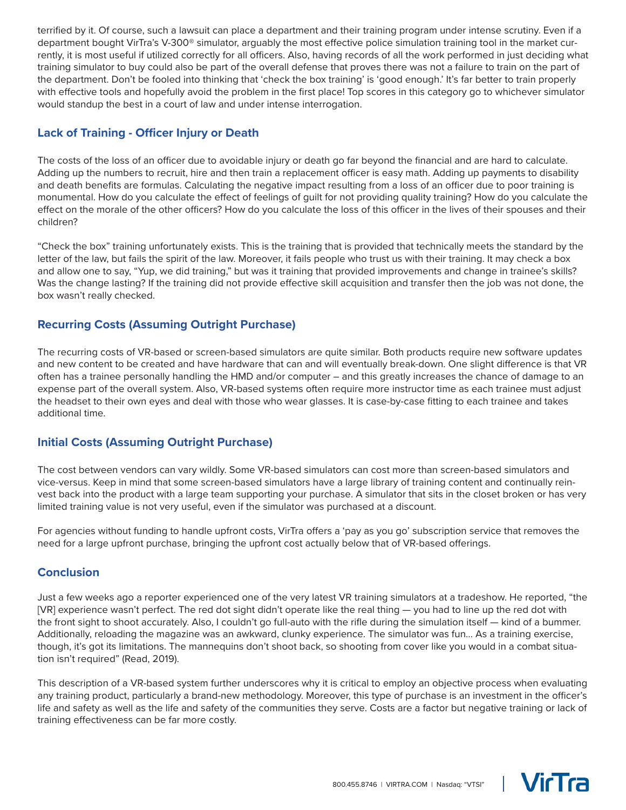terrified by it. Of course, such a lawsuit can place a department and their training program under intense scrutiny. Even if a department bought VirTra's V-300® simulator, arguably the most effective police simulation training tool in the market currently, it is most useful if utilized correctly for all officers. Also, having records of all the work performed in just deciding what training simulator to buy could also be part of the overall defense that proves there was not a failure to train on the part of the department. Don't be fooled into thinking that 'check the box training' is 'good enough.' It's far better to train properly with effective tools and hopefully avoid the problem in the first place! Top scores in this category go to whichever simulator would standup the best in a court of law and under intense interrogation.

#### **Lack of Training - Officer Injury or Death**

The costs of the loss of an officer due to avoidable injury or death go far beyond the financial and are hard to calculate. Adding up the numbers to recruit, hire and then train a replacement officer is easy math. Adding up payments to disability and death benefits are formulas. Calculating the negative impact resulting from a loss of an officer due to poor training is monumental. How do you calculate the effect of feelings of guilt for not providing quality training? How do you calculate the effect on the morale of the other officers? How do you calculate the loss of this officer in the lives of their spouses and their children?

"Check the box" training unfortunately exists. This is the training that is provided that technically meets the standard by the letter of the law, but fails the spirit of the law. Moreover, it fails people who trust us with their training. It may check a box and allow one to say, "Yup, we did training," but was it training that provided improvements and change in trainee's skills? Was the change lasting? If the training did not provide effective skill acquisition and transfer then the job was not done, the box wasn't really checked.

#### **Recurring Costs (Assuming Outright Purchase)**

The recurring costs of VR-based or screen-based simulators are quite similar. Both products require new software updates and new content to be created and have hardware that can and will eventually break-down. One slight difference is that VR often has a trainee personally handling the HMD and/or computer – and this greatly increases the chance of damage to an expense part of the overall system. Also, VR-based systems often require more instructor time as each trainee must adjust the headset to their own eyes and deal with those who wear glasses. It is case-by-case fitting to each trainee and takes additional time.

#### **Initial Costs (Assuming Outright Purchase)**

The cost between vendors can vary wildly. Some VR-based simulators can cost more than screen-based simulators and vice-versus. Keep in mind that some screen-based simulators have a large library of training content and continually reinvest back into the product with a large team supporting your purchase. A simulator that sits in the closet broken or has very limited training value is not very useful, even if the simulator was purchased at a discount.

For agencies without funding to handle upfront costs, VirTra offers a 'pay as you go' subscription service that removes the need for a large upfront purchase, bringing the upfront cost actually below that of VR-based offerings.

#### **Conclusion**

Just a few weeks ago a reporter experienced one of the very latest VR training simulators at a tradeshow. He reported, "the [VR] experience wasn't perfect. The red dot sight didn't operate like the real thing — you had to line up the red dot with the front sight to shoot accurately. Also, I couldn't go full-auto with the rifle during the simulation itself — kind of a bummer. Additionally, reloading the magazine was an awkward, clunky experience. The simulator was fun… As a training exercise, though, it's got its limitations. The mannequins don't shoot back, so shooting from cover like you would in a combat situation isn't required" (Read, 2019).

This description of a VR-based system further underscores why it is critical to employ an objective process when evaluating any training product, particularly a brand-new methodology. Moreover, this type of purchase is an investment in the officer's life and safety as well as the life and safety of the communities they serve. Costs are a factor but negative training or lack of training effectiveness can be far more costly.



**VicTra**